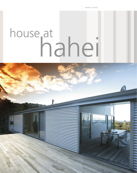words: Sue Reidy

# house at<br>
hahei

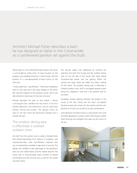Architect Michael Fisher describes a bach he has designed at Hahei in the Coromandel as a cantilevered pavilion set against the bush.

Sitting high on a hill overlooking Hahei beach, the house is surrounded by native bush. Its exact location on the property was predetermined by a small section and the position of a now-demolished A-frame home on the same site.

"It was a tight site," says Michael. "There was a neighbour hard on one side and it fell away steeply on the other. We used the footprint of the previous house, which was demolished to make way for the new structure."

Michael describes the plan as very simple – almost a rectangular box, divided over two levels. It has four double bedrooms, two bathrooms, and an open-plan kitchen, dining and lounge. The upstairs covers an area of 135 sqm while the downstairs spreads over a smaller 60 sqm.

### The outdoor dining area is effectively a covered outdoor room

His brief from the owners was to create a holiday home that flowed beautifully from indoors to outdoors, was maintenance-free, used cost-effective materials and, just as importantly, provided a high level of security. The design also needed to take advantage of the panoramic view out over Hahei beach and the islands beyond. The house had to accommodate large numbers of guests comfortably, but also function just as well for the couple and their family.

The security aspect was addressed by covering the openings into both the lounge and the outdoor dining area on the hill side of the house with large sliding Zincalume-clad panels over the glazing. When the owners are away, these are rolled into place, sealing off the home. The outdoor dining area is effectively a covered outdoor room, with a corrugated opaque screen along the neighbour's side and a flat painted wall on the other.

Eucalyptus timber decking stretches the length of the house at the rear, facing into the bush. Corrugated Zincalume steel was chosen for the exterior and the roof because of its low cost as well as its easy maintenance.

One bathroom has been lined as a wet shower room and the other designed to contain a bath. Both feature rubber sheet flooring and rooflights that open up the rooms to the sky.

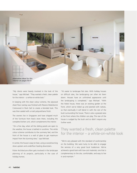

"My clients were heavily involved in the look of the house," says Michael. "They wanted a fresh, clean palette for the interior – a white-on-white look."

In keeping with the clean colour scheme, the plywood sheet floor overlay was finished with Resene Waterborne Colorwood in Rock Salt to create a blonded look. This was then sealed with a matt polyurethane finish.

The owners live in Singapore and have shipped much of the furniture from Ikea's store there, including the complete kitchen unit, which complements the interior.

"On a fine day, when all the sliding panels are open to the weather, the house is bathed in sunshine. The white colour scheme contributes to the summery feel, and the front of the house is a wall of glass to get maximum impact from the stunning view," says Michael.

In winter, the house is easy to heat, using a wood-burning stove upstairs and underfloor heating downstairs.

Fisher Architecture often gets involved in the landscape planning of its projects, particularly in the case of holiday homes.

"It's easier to landscape flat sites. With holiday houses on difficult sites, the landscaping can often let them down. Houses have an unfinished appearance until the landscaping is completed," says Michael. "With the Hahei house, there was an existing garden at the front, which we've tidied up and planted with natives, so that eventually it will blend in with the rest of the bush surrounding the house. There is also a grassed area at the front where the children can play. The rear of the house is nudged by the bush and so didn't require any further work.

# They wanted a fresh, clean palette for the interior – a white-on-white look

"We're very pleased with the standard of workmanship on the building. We were lucky to be able to engage the services of a very good local tradesman. We've achieved a good look with low-cost materials; one that is complementary to the site, comfortable, and easy to live in and maintain."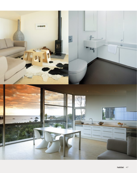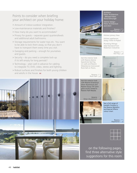## Points to consider when briefing your architect on your holiday home:

- > Amount of indoor-outdoor integration.
- > Low-maintenance materials and finishes?
- > How many do you want to accommodate?
- > Privacy for guests separate guest quarters/levels and additional adult bathrooms.
- > Storage requirements for water toys etc. You want to be able to lock them away, so that you don't have to transport them every time you visit.
- > Garaging and parking enough for yourselves and guests.
- > Security do you need a complete lock-up if it's left empty for long periods?
- > Technology plan well in advance for cabling to integrate TV, DVD, video, stereo and lighting.
- > Robust surfaces and finishes for both young children and adults in the house.  $H$





Resene Half Masala.

Resene Silver Aluminium



Resene Sea Fog

See a full range of metallic finishes in the Resene Metallics and Special Effects colour chart.

Resene Oxymoron



on the following pages, find three alternative style suggestions for this room

### 48 | habitat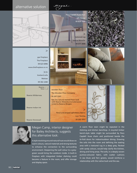### alternative solution









gas fireplace The Fireplace 09 623 6996 www.thefireplace.co.nz

 $\geq$ 

 $>>$ lowland sofa Matisse 09 302 2284









### Megan Camp, interior designer for Bailey Architects, suggests this alternative look:

A style revolving around natural hues would draw on warm colours, natural materials and strong textures to enhance the connection to the surrounding environment. Deepening the wall colour to a greygreen would bring the outdoors inside. A built-in fireplace with integrated timber shelving could become a feature in the room, and offer storage and display space.

A warm floor stain might be repeated in the shelving and kitchen benchtop. A recycled timber bench-style table might be surrounded by Paco Capdell Xuxa chairs and positioned beside the bi-fold doors for indoor/outdoor dining. Drawing the sofa into the room and defining the seating area with a textured rug in a deep grey, flecked with sandy colours, would help clarify the kitchen, dining and living areas. The sofa, in a deeply woven pumice-coloured fabric, with scatter cushions in sea blues and fern greens, would reinforce a relationship with the native bush and the sea.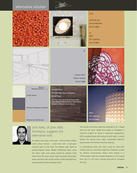## alternative solution







textured rug Source Mondial 09 377 3068

 $\lt$ light ECC Lighting 09 379 9680



curtain fabric Atelier Textiles 09 373 3866

>





### John Mills, of John Mills Architects, suggests this alternative look:

A modern retro style in this room – kind of Karen Walker meets Alison Durban – could start with a high-gloss charcoal stain on the floor. The feature wall might be painted Resene Karen Walker Weathered Blue, while the other walls and ceiling would be painted Froth Green from the same range. Eight recessed ceiling lights above the blue wall would provide subtle downlighting, accompanied by free-standing lamps.

The kitchen benchtop might be extended in an L-shape well into the room. Made from plastic or fibreglass, it could be underlit to create a translucent appearance. With a pedestal base and seating on both sides, it would replace the dining room table. Suspended cabinetry would screen the kitchen from the stairway.

A contemporary sofa and chairs could be used both indoors and out, and there might be a fireplace outside for alfresco entertaining. Heavy, thick drapes in a 1970s design might be complemented by a 3.5m square floor rug in a rich red or orange shag pile to complete the look.